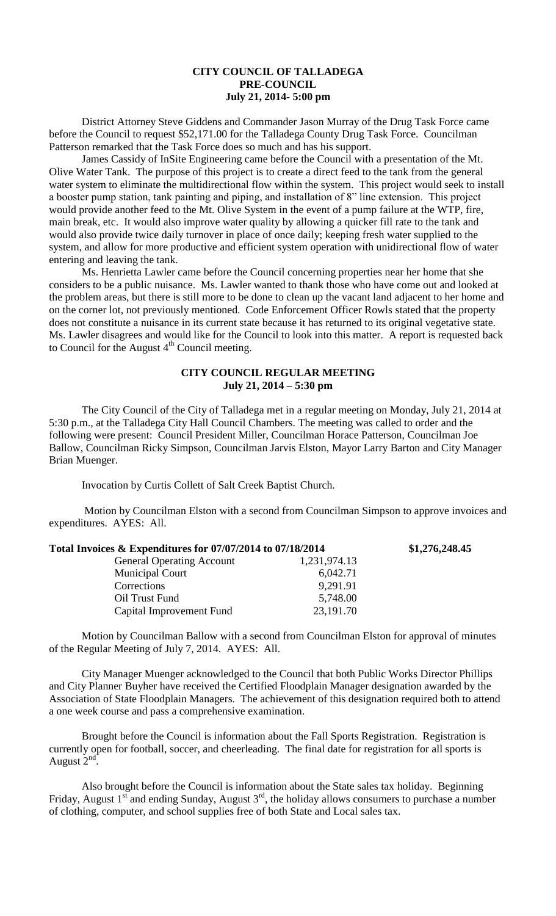## **CITY COUNCIL OF TALLADEGA PRE-COUNCIL July 21, 2014- 5:00 pm**

District Attorney Steve Giddens and Commander Jason Murray of the Drug Task Force came before the Council to request \$52,171.00 for the Talladega County Drug Task Force. Councilman Patterson remarked that the Task Force does so much and has his support.

James Cassidy of InSite Engineering came before the Council with a presentation of the Mt. Olive Water Tank. The purpose of this project is to create a direct feed to the tank from the general water system to eliminate the multidirectional flow within the system. This project would seek to install a booster pump station, tank painting and piping, and installation of 8" line extension. This project would provide another feed to the Mt. Olive System in the event of a pump failure at the WTP, fire, main break, etc. It would also improve water quality by allowing a quicker fill rate to the tank and would also provide twice daily turnover in place of once daily; keeping fresh water supplied to the system, and allow for more productive and efficient system operation with unidirectional flow of water entering and leaving the tank.

Ms. Henrietta Lawler came before the Council concerning properties near her home that she considers to be a public nuisance. Ms. Lawler wanted to thank those who have come out and looked at the problem areas, but there is still more to be done to clean up the vacant land adjacent to her home and on the corner lot, not previously mentioned. Code Enforcement Officer Rowls stated that the property does not constitute a nuisance in its current state because it has returned to its original vegetative state. Ms. Lawler disagrees and would like for the Council to look into this matter. A report is requested back to Council for the August  $4<sup>th</sup>$  Council meeting.

# **CITY COUNCIL REGULAR MEETING July 21, 2014 – 5:30 pm**

The City Council of the City of Talladega met in a regular meeting on Monday, July 21, 2014 at 5:30 p.m., at the Talladega City Hall Council Chambers. The meeting was called to order and the following were present: Council President Miller, Councilman Horace Patterson, Councilman Joe Ballow, Councilman Ricky Simpson, Councilman Jarvis Elston, Mayor Larry Barton and City Manager Brian Muenger.

Invocation by Curtis Collett of Salt Creek Baptist Church.

Motion by Councilman Elston with a second from Councilman Simpson to approve invoices and expenditures. AYES: All.

| Total Invoices & Expenditures for 07/07/2014 to 07/18/2014 |              | \$1,276,248.45 |
|------------------------------------------------------------|--------------|----------------|
| <b>General Operating Account</b>                           | 1,231,974.13 |                |
| <b>Municipal Court</b>                                     | 6,042.71     |                |
| Corrections                                                | 9,291.91     |                |
| Oil Trust Fund                                             | 5,748.00     |                |
| Capital Improvement Fund                                   | 23,191.70    |                |

Motion by Councilman Ballow with a second from Councilman Elston for approval of minutes of the Regular Meeting of July 7, 2014. AYES: All.

City Manager Muenger acknowledged to the Council that both Public Works Director Phillips and City Planner Buyher have received the Certified Floodplain Manager designation awarded by the Association of State Floodplain Managers. The achievement of this designation required both to attend a one week course and pass a comprehensive examination.

Brought before the Council is information about the Fall Sports Registration. Registration is currently open for football, soccer, and cheerleading. The final date for registration for all sports is August  $2<sup>nd</sup>$ .

Also brought before the Council is information about the State sales tax holiday. Beginning Friday, August  $1^{st}$  and ending Sunday, August  $3^{rd}$ , the holiday allows consumers to purchase a number of clothing, computer, and school supplies free of both State and Local sales tax.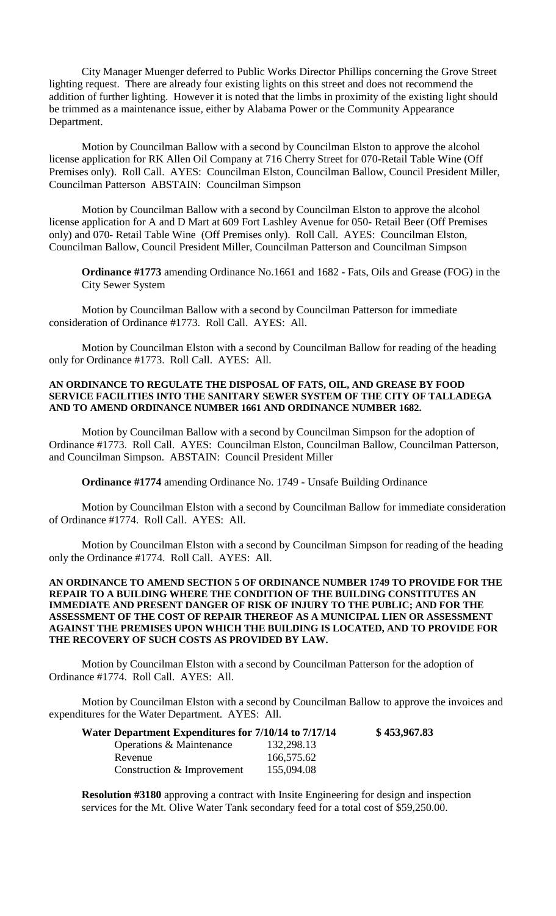City Manager Muenger deferred to Public Works Director Phillips concerning the Grove Street lighting request. There are already four existing lights on this street and does not recommend the addition of further lighting. However it is noted that the limbs in proximity of the existing light should be trimmed as a maintenance issue, either by Alabama Power or the Community Appearance Department.

Motion by Councilman Ballow with a second by Councilman Elston to approve the alcohol license application for RK Allen Oil Company at 716 Cherry Street for 070-Retail Table Wine (Off Premises only). Roll Call. AYES: Councilman Elston, Councilman Ballow, Council President Miller, Councilman Patterson ABSTAIN: Councilman Simpson

Motion by Councilman Ballow with a second by Councilman Elston to approve the alcohol license application for A and D Mart at 609 Fort Lashley Avenue for 050- Retail Beer (Off Premises only) and 070- Retail Table Wine (Off Premises only). Roll Call. AYES: Councilman Elston, Councilman Ballow, Council President Miller, Councilman Patterson and Councilman Simpson

**Ordinance #1773** amending Ordinance No.1661 and 1682 - Fats, Oils and Grease (FOG) in the City Sewer System

Motion by Councilman Ballow with a second by Councilman Patterson for immediate consideration of Ordinance #1773. Roll Call. AYES: All.

Motion by Councilman Elston with a second by Councilman Ballow for reading of the heading only for Ordinance #1773. Roll Call. AYES: All.

#### **AN ORDINANCE TO REGULATE THE DISPOSAL OF FATS, OIL, AND GREASE BY FOOD SERVICE FACILITIES INTO THE SANITARY SEWER SYSTEM OF THE CITY OF TALLADEGA AND TO AMEND ORDINANCE NUMBER 1661 AND ORDINANCE NUMBER 1682.**

Motion by Councilman Ballow with a second by Councilman Simpson for the adoption of Ordinance #1773. Roll Call. AYES: Councilman Elston, Councilman Ballow, Councilman Patterson, and Councilman Simpson. ABSTAIN: Council President Miller

**Ordinance #1774** amending Ordinance No. 1749 - Unsafe Building Ordinance

Motion by Councilman Elston with a second by Councilman Ballow for immediate consideration of Ordinance #1774. Roll Call. AYES: All.

Motion by Councilman Elston with a second by Councilman Simpson for reading of the heading only the Ordinance #1774. Roll Call. AYES: All.

### **AN ORDINANCE TO AMEND SECTION 5 OF ORDINANCE NUMBER 1749 TO PROVIDE FOR THE REPAIR TO A BUILDING WHERE THE CONDITION OF THE BUILDING CONSTITUTES AN IMMEDIATE AND PRESENT DANGER OF RISK OF INJURY TO THE PUBLIC; AND FOR THE ASSESSMENT OF THE COST OF REPAIR THEREOF AS A MUNICIPAL LIEN OR ASSESSMENT AGAINST THE PREMISES UPON WHICH THE BUILDING IS LOCATED, AND TO PROVIDE FOR THE RECOVERY OF SUCH COSTS AS PROVIDED BY LAW.**

Motion by Councilman Elston with a second by Councilman Patterson for the adoption of Ordinance #1774. Roll Call. AYES: All.

Motion by Councilman Elston with a second by Councilman Ballow to approve the invoices and expenditures for the Water Department. AYES: All.

| Water Department Expenditures for 7/10/14 to 7/17/14 |            | \$453,967.83 |
|------------------------------------------------------|------------|--------------|
| Operations & Maintenance                             | 132,298.13 |              |
| Revenue                                              | 166,575.62 |              |
| Construction & Improvement                           | 155,094.08 |              |

**Resolution #3180** approving a contract with Insite Engineering for design and inspection services for the Mt. Olive Water Tank secondary feed for a total cost of \$59,250.00.